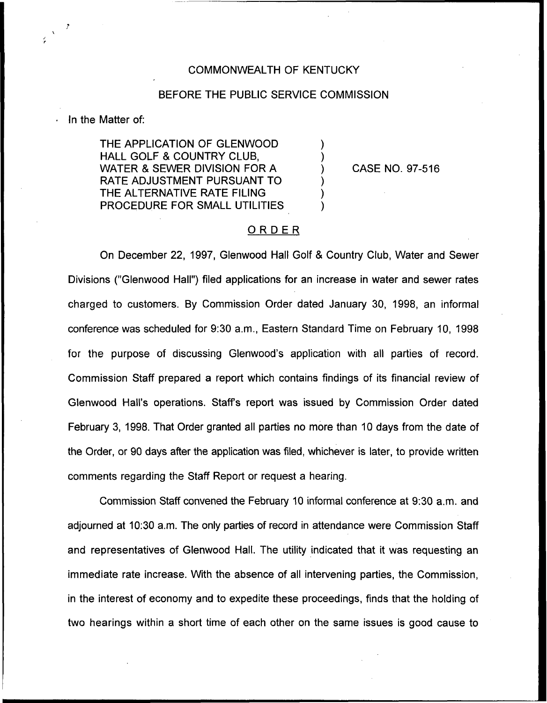## COMMONWEALTH OF KENTUCKY

## BEFORE THE PUBLIC SERVICE COMMISSION

In the Matter of:

THE APPLICATION OF GLENWOOD HALL GOLF 8 COUNTRY CLUB, WATER & SEWER DIVISION FOR A RATE ADJUSTMENT PURSUANT TO THE ALTERNATIVE RATE FILING PROCEDURE FOR SMALL UTILITIES

CASE NO. 97-516

## ORDER

On December 22, 1997, Glenwood Hall Golf 8 Country Club, Water and Sewer Divisions ("Glenwood Hall") filed applications for an increase in water and sewer rates charged to customers. By Commission Order dated January 30, 1998, an informal conference was scheduled for 9:30 a.m,, Eastern Standard Time on February 10, 1998 for the purpose of discussing Glenwood's application with all parties of record. Commission Staff prepared a report which contains findings of its financial review of Glenwood Hall's operations. Staffs report was issued by Commission Order dated February 3, 199S.That Order granted all parties no more than 10 days from the date of the Order, or 90 days after the application was filed, whichever is later, to provide written comments regarding the Staff Report or request a hearing.

Commission Staff convened the February 10 informal conference at 9:30 a.m. and adjourned at 10:30 a.m. The only parties of record in attendance were Commission Staff and representatives of Glenwood Hall. The utility indicated that it was requesting an immediate rate increase. With the absence of all intervening parties, the Commission, in the interest of economy and to expedite these proceedings, finds that the holding of two hearings within a short time of each other on the same issues is good cause to